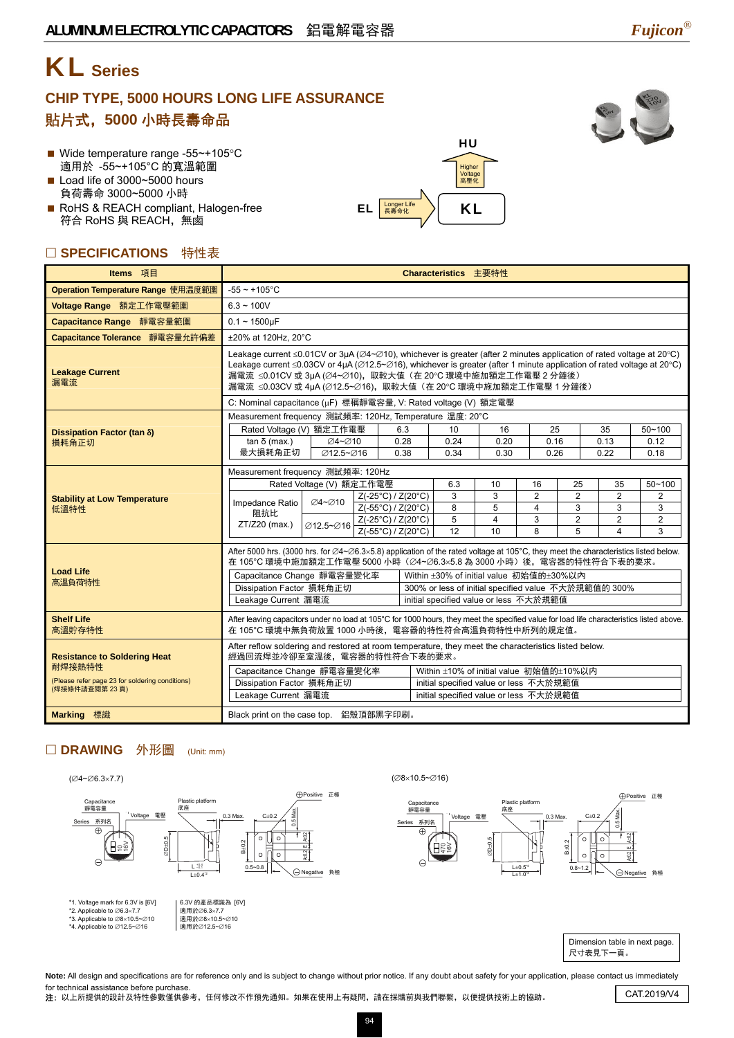# KL **Series**

### **CHIP TYPE, 5000 HOURS LONG LIFE ASSURANCE**  貼片式,**5000** 小時長壽命品



- Wide temperature range -55~+105°C 適用於 -55~+105°C 的寬溫範圍
- Load life of 3000~5000 hours 負荷壽命 3000~5000 小時
- RoHS & REACH compliant, Halogen-free 符合 RoHS 與 REACH,無鹵

### □ SPECIFICATIONS 特性表

| Items 項目                                                         | Characteristics 主要特性                                                                                                                                                                                                                                                                                                                                                                                                                                 |                                                                                  |                                  |                    |                                         |                |                                         |                |            |                    |  |
|------------------------------------------------------------------|------------------------------------------------------------------------------------------------------------------------------------------------------------------------------------------------------------------------------------------------------------------------------------------------------------------------------------------------------------------------------------------------------------------------------------------------------|----------------------------------------------------------------------------------|----------------------------------|--------------------|-----------------------------------------|----------------|-----------------------------------------|----------------|------------|--------------------|--|
| Operation Temperature Range 使用温度範圍                               | $-55 \sim +105$ °C                                                                                                                                                                                                                                                                                                                                                                                                                                   |                                                                                  |                                  |                    |                                         |                |                                         |                |            |                    |  |
| Voltage Range 額定工作電壓範圍                                           | $6.3 \sim 100V$                                                                                                                                                                                                                                                                                                                                                                                                                                      |                                                                                  |                                  |                    |                                         |                |                                         |                |            |                    |  |
| Capacitance Range 靜電容量範圍                                         | $0.1 - 1500$ uF                                                                                                                                                                                                                                                                                                                                                                                                                                      |                                                                                  |                                  |                    |                                         |                |                                         |                |            |                    |  |
| Capacitance Tolerance 靜電容量允許偏差                                   |                                                                                                                                                                                                                                                                                                                                                                                                                                                      | ±20% at 120Hz. 20°C                                                              |                                  |                    |                                         |                |                                         |                |            |                    |  |
| <b>Leakage Current</b><br>漏電流                                    | Leakage current $\leq 0.01$ CV or 3µA ( $\varnothing$ 4~ $\varnothing$ 10), whichever is greater (after 2 minutes application of rated voltage at 20°C)<br>Leakage current $\leq 0.03$ CV or 4µA ( $\varnothing$ 12.5~ $\varnothing$ 16), whichever is greater (after 1 minute application of rated voltage at 20°C)<br>漏電流 ≤0.01CV 或 3µA (∅4~∅10), 取較大值 (在 20℃ 環境中施加額定工作電壓 2 分鐘後)<br>漏電流 ≤0.03CV 或 4µA (∅12.5~∅16), 取較大值 (在 20°C 環境中施加額定工作電壓 1 分鐘後) |                                                                                  |                                  |                    |                                         |                |                                         |                |            |                    |  |
|                                                                  | C: Nominal capacitance (µF) 標稱靜電容量, V: Rated voltage (V) 額定電壓                                                                                                                                                                                                                                                                                                                                                                                        |                                                                                  |                                  |                    |                                         |                |                                         |                |            |                    |  |
|                                                                  | Measurement frequency 測試頻率: 120Hz, Temperature 温度: 20°C                                                                                                                                                                                                                                                                                                                                                                                              |                                                                                  |                                  |                    |                                         |                |                                         |                |            |                    |  |
| Dissipation Factor (tan δ)                                       | Rated Voltage (V) 額定工作電壓<br>$tan δ$ (max.)                                                                                                                                                                                                                                                                                                                                                                                                           | ∅4~∅10                                                                           |                                  | 6.3<br>0.28        | 10<br>0.24                              | 16<br>0.20     | 25<br>0.16                              |                | 35<br>0.13 | $50 - 100$<br>0.12 |  |
| 損耗角正切                                                            | 最大損耗角正切                                                                                                                                                                                                                                                                                                                                                                                                                                              | Ø12.5~Ø16                                                                        |                                  | 0.38               | 0.34                                    | 0.30           | 0.26                                    |                | 0.22       | 0.18               |  |
|                                                                  | Measurement frequency 測試頻率: 120Hz                                                                                                                                                                                                                                                                                                                                                                                                                    |                                                                                  |                                  |                    |                                         |                |                                         |                |            |                    |  |
|                                                                  |                                                                                                                                                                                                                                                                                                                                                                                                                                                      | Rated Voltage (V) 額定工作電壓                                                         |                                  | 6.3                | 10                                      | 16             | 25                                      | 35             | $50 - 100$ |                    |  |
| <b>Stability at Low Temperature</b>                              |                                                                                                                                                                                                                                                                                                                                                                                                                                                      |                                                                                  | $Z(-25^{\circ}C)/Z(20^{\circ}C)$ |                    | 3                                       | 3              | $\overline{2}$                          | $\overline{2}$ | 2          | $\overline{2}$     |  |
| 低溫特性                                                             | Impedance Ratio<br>阻抗比<br>ZT/Z20 (max.)                                                                                                                                                                                                                                                                                                                                                                                                              | <b>⊘4~⊘10</b>                                                                    | Z(-55°C) / Z(20°C)               |                    | 8                                       | 5              | $\overline{4}$                          | 3              | 3          | 3                  |  |
|                                                                  |                                                                                                                                                                                                                                                                                                                                                                                                                                                      | Ø12.5~Ø16                                                                        | $Z(-25^{\circ}C)/Z(20^{\circ}C)$ |                    | 5                                       | $\overline{4}$ | 3                                       | $\overline{2}$ | 2          | $\overline{2}$     |  |
|                                                                  |                                                                                                                                                                                                                                                                                                                                                                                                                                                      |                                                                                  |                                  | Z(-55°C) / Z(20°C) | 12                                      | 10             | 8                                       | 5              | $\Delta$   | 3                  |  |
| <b>Load Life</b>                                                 | After 5000 hrs. (3000 hrs. for $\varnothing$ 4~ $\varnothing$ 6.3×5.8) application of the rated voltage at 105°C, they meet the characteristics listed below.<br>在 105℃ 環境中施加額定工作電壓 5000 小時 (∅4~∅6.3×5.8 為 3000 小時) 後, 電容器的特性符合下表的要求。                                                                                                                                                                                                                |                                                                                  |                                  |                    |                                         |                |                                         |                |            |                    |  |
| 高溫負荷特性                                                           | Capacitance Change 靜電容量變化率                                                                                                                                                                                                                                                                                                                                                                                                                           |                                                                                  |                                  |                    |                                         |                | Within ±30% of initial value 初始值的±30%以內 |                |            |                    |  |
|                                                                  |                                                                                                                                                                                                                                                                                                                                                                                                                                                      | Dissipation Factor 損耗角正切<br>300% or less of initial specified value 不大於規範值的 300% |                                  |                    |                                         |                |                                         |                |            |                    |  |
|                                                                  | Leakage Current 漏電流<br>initial specified value or less 不大於規範值                                                                                                                                                                                                                                                                                                                                                                                        |                                                                                  |                                  |                    |                                         |                |                                         |                |            |                    |  |
| <b>Shelf Life</b><br>高溫貯存特性                                      | After leaving capacitors under no load at 105°C for 1000 hours, they meet the specified value for load life characteristics listed above.<br>在 105℃ 環境中無負荷放置 1000 小時後,電容器的特性符合高溫負荷特性中所列的規定值。                                                                                                                                                                                                                                                         |                                                                                  |                                  |                    |                                         |                |                                         |                |            |                    |  |
| <b>Resistance to Soldering Heat</b>                              | After reflow soldering and restored at room temperature, they meet the characteristics listed below.<br>經過回流焊並冷卻至室溫後,電容器的特性符合下表的要求。                                                                                                                                                                                                                                                                                                                  |                                                                                  |                                  |                    |                                         |                |                                         |                |            |                    |  |
| 耐焊接熱特性                                                           | Capacitance Change 靜電容量變化率                                                                                                                                                                                                                                                                                                                                                                                                                           |                                                                                  |                                  |                    | Within ±10% of initial value 初始值的±10%以内 |                |                                         |                |            |                    |  |
| (Please refer page 23 for soldering conditions)<br>(焊接條件請查閱第23頁) | Dissipation Factor 損耗角正切                                                                                                                                                                                                                                                                                                                                                                                                                             |                                                                                  |                                  |                    | initial specified value or less 不大於規範值  |                |                                         |                |            |                    |  |
|                                                                  | Leakage Current 漏電流                                                                                                                                                                                                                                                                                                                                                                                                                                  |                                                                                  |                                  |                    | initial specified value or less 不大於規範值  |                |                                         |                |            |                    |  |
| <b>Marking 標識</b>                                                | Black print on the case top. 鋁殼頂部黑字印刷。                                                                                                                                                                                                                                                                                                                                                                                                               |                                                                                  |                                  |                    |                                         |                |                                         |                |            |                    |  |

 $\left| \text{EL} \left[ \frac{\text{Longer Life}}{\text{R}_{\text{A}}^{\text{A}} \oplus \text{R}_{\text{B}}^{\text{A}}}\right] \right|$  KL

HU Higher Voltage 高壓化

#### □ DRAWING 外形圖 (Unit: mm)



Note: All design and specifications are for reference only and is subject to change without prior notice. If any doubt about safety for your application, please contact us immediately for technical assistance before purchase. nor technical assistance before purchase.<br>注:以上所提供的設計及特性參數僅供參考,任何修改不作預先通知。如果在使用上有疑問,請在採購前與我們聯繫,以便提供技術上的協助。 CAT.2019/V4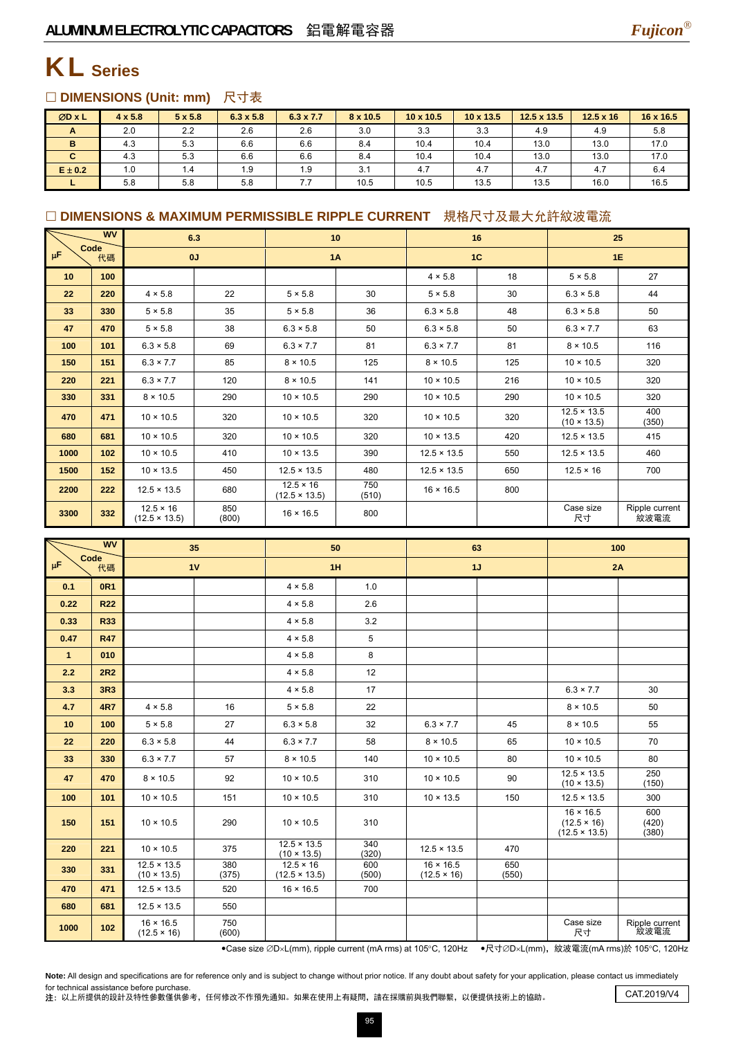

## KL **Series**

#### □ DIMENSIONS (Unit: mm) 尺寸表

| ØD x L      | $4 \times 5.8$ | $5 \times 5.8$ | $6.3 \times 5.8$ | $6.3 \times 7.7$ | 8 x 10.5 | $10 \times 10.5$ | $10 \times 13.5$ | $12.5 \times 13.5$ | $12.5 \times 16$ | 16 x 16.5 |
|-------------|----------------|----------------|------------------|------------------|----------|------------------|------------------|--------------------|------------------|-----------|
| A           | 2.0            | 2.2            | 2.6              | 2.6              | 3.0      | 3.3              | 3.3              | 4.9                | 4.9              | 5.8       |
| в           | 4.3            | 5.3            | 6.6              | 6.6              | 8.4      | 10.4             | 10.4             | 13.0               | 13.0             | 17.0      |
| C.          | 4.3            | 5.3            | 6.6              | 6.6              | 8.4      | 10.4             | 10.4             | 13.0               | 13.0             | 17.0      |
| $E \pm 0.2$ | 1.0            | 1.4            | 1.9              | 1.9              | 3.1      | 4.7              | 4.7              | 4.7                | 4.7              | 6.4       |
|             | 5.8            | 5.8            | 5.8              | 7.7              | 10.5     | 10.5             | 13.5             | 13.5               | 16.0             | 16.5      |

### □ DIMENSIONS & MAXIMUM PERMISSIBLE RIPPLE CURRENT 規格尺寸及最大允許紋波電流

|                       | <b>WV</b> | 6.3                                      |              |                                          | 10           | 16                 |     |                                          | 25                     |
|-----------------------|-----------|------------------------------------------|--------------|------------------------------------------|--------------|--------------------|-----|------------------------------------------|------------------------|
| Code<br>$\mu$ F<br>代碼 |           | 0J                                       |              | <b>1A</b>                                |              | 1C                 |     | 1E                                       |                        |
| 10                    | 100       |                                          |              |                                          |              | $4 \times 5.8$     | 18  | $5 \times 5.8$                           | 27                     |
| 22                    | 220       | $4 \times 5.8$                           | 22           | $5 \times 5.8$                           | 30           | $5 \times 5.8$     | 30  | $6.3 \times 5.8$                         | 44                     |
| 33                    | 330       | $5 \times 5.8$                           | 35           | $5 \times 5.8$                           | 36           | $6.3 \times 5.8$   | 48  | $6.3 \times 5.8$                         | 50                     |
| 47                    | 470       | $5 \times 5.8$                           | 38           | $6.3 \times 5.8$                         | 50           | $6.3 \times 5.8$   | 50  | $6.3 \times 7.7$                         | 63                     |
| 100                   | 101       | $6.3 \times 5.8$                         | 69           | $6.3 \times 7.7$                         | 81           | $6.3 \times 7.7$   | 81  | $8 \times 10.5$                          | 116                    |
| 150                   | 151       | $6.3 \times 7.7$                         | 85           | $8 \times 10.5$                          | 125          | $8 \times 10.5$    | 125 | $10 \times 10.5$                         | 320                    |
| 220                   | 221       | $6.3 \times 7.7$                         | 120          | $8 \times 10.5$                          | 141          | $10 \times 10.5$   | 216 | $10 \times 10.5$                         | 320                    |
| 330                   | 331       | $8 \times 10.5$                          | 290          | $10 \times 10.5$                         | 290          | $10 \times 10.5$   | 290 | $10 \times 10.5$                         | 320                    |
| 470                   | 471       | $10 \times 10.5$                         | 320          | $10 \times 10.5$                         | 320          | $10 \times 10.5$   | 320 | $12.5 \times 13.5$<br>$(10 \times 13.5)$ | 400<br>(350)           |
| 680                   | 681       | $10 \times 10.5$                         | 320          | $10 \times 10.5$                         | 320          | $10 \times 13.5$   | 420 | $12.5 \times 13.5$                       | 415                    |
| 1000                  | 102       | $10 \times 10.5$                         | 410          | $10 \times 13.5$                         | 390          | $12.5 \times 13.5$ | 550 | $12.5 \times 13.5$                       | 460                    |
| 1500                  | 152       | $10 \times 13.5$                         | 450          | $12.5 \times 13.5$                       | 480          | $12.5 \times 13.5$ | 650 | $12.5 \times 16$                         | 700                    |
| 2200                  | 222       | $12.5 \times 13.5$                       | 680          | $12.5 \times 16$<br>$(12.5 \times 13.5)$ | 750<br>(510) | $16 \times 16.5$   | 800 |                                          |                        |
| 3300                  | 332       | $12.5 \times 16$<br>$(12.5 \times 13.5)$ | 850<br>(800) | $16 \times 16.5$                         | 800          |                    |     | Case size<br>尺寸                          | Ripple current<br>紋波電流 |

| <b>WV</b><br>Code |                 |                                          | 35           |                                          | 50           |                                        | 63           | 100                                                            |                        |  |
|-------------------|-----------------|------------------------------------------|--------------|------------------------------------------|--------------|----------------------------------------|--------------|----------------------------------------------------------------|------------------------|--|
| μF                | 代碼              | 1V                                       |              |                                          | 1H           |                                        | 1J           | 2A                                                             |                        |  |
| 0.1               | <b>0R1</b>      |                                          |              | $4 \times 5.8$                           | 1.0          |                                        |              |                                                                |                        |  |
| 0.22              | <b>R22</b>      |                                          |              | $4 \times 5.8$                           | 2.6          |                                        |              |                                                                |                        |  |
| 0.33              | <b>R33</b>      |                                          |              | $4 \times 5.8$                           | 3.2          |                                        |              |                                                                |                        |  |
| 0.47              | <b>R47</b>      |                                          |              | $4 \times 5.8$                           | 5            |                                        |              |                                                                |                        |  |
| $\mathbf{1}$      | 010             |                                          |              | $4 \times 5.8$                           | 8            |                                        |              |                                                                |                        |  |
| 2.2               | 2R <sub>2</sub> |                                          |              | $4 \times 5.8$                           | 12           |                                        |              |                                                                |                        |  |
| 3.3               | 3R3             |                                          |              | $4 \times 5.8$                           | 17           |                                        |              | $6.3 \times 7.7$                                               | 30                     |  |
| 4.7               | <b>4R7</b>      | $4 \times 5.8$                           | 16           | $5 \times 5.8$                           | 22           |                                        |              | $8 \times 10.5$                                                | 50                     |  |
| 10                | 100             | $5 \times 5.8$                           | 27           | $6.3 \times 5.8$                         | 32           | $6.3 \times 7.7$                       | 45           | $8 \times 10.5$                                                | 55                     |  |
| 22                | 220             | $6.3 \times 5.8$                         | 44           | $6.3 \times 7.7$                         | 58           | $8 \times 10.5$                        | 65           | $10 \times 10.5$                                               | 70                     |  |
| 33                | 330             | $6.3 \times 7.7$                         | 57           | $8 \times 10.5$                          | 140          | $10 \times 10.5$                       | 80           | $10 \times 10.5$                                               | 80                     |  |
| 47                | 470             | $8 \times 10.5$                          | 92           | $10 \times 10.5$                         | 310          | $10 \times 10.5$                       | 90           | $12.5 \times 13.5$<br>$(10 \times 13.5)$                       | 250<br>(150)           |  |
| 100               | 101             | $10 \times 10.5$                         | 151          | $10 \times 10.5$                         | 310          | $10 \times 13.5$                       | 150          | $12.5 \times 13.5$                                             | 300                    |  |
| 150               | 151             | $10 \times 10.5$                         | 290          | $10 \times 10.5$                         | 310          |                                        |              | $16 \times 16.5$<br>$(12.5 \times 16)$<br>$(12.5 \times 13.5)$ | 600<br>(420)<br>(380)  |  |
| 220               | 221             | $10 \times 10.5$                         | 375          | $12.5 \times 13.5$<br>$(10 \times 13.5)$ | 340<br>(320) | $12.5 \times 13.5$                     | 470          |                                                                |                        |  |
| 330               | 331             | $12.5 \times 13.5$<br>$(10 \times 13.5)$ | 380<br>(375) | $12.5 \times 16$<br>$(12.5 \times 13.5)$ | 600<br>(500) | $16 \times 16.5$<br>$(12.5 \times 16)$ | 650<br>(550) |                                                                |                        |  |
| 470               | 471             | $12.5 \times 13.5$                       | 520          | $16 \times 16.5$                         | 700          |                                        |              |                                                                |                        |  |
| 680               | 681             | $12.5 \times 13.5$                       | 550          |                                          |              |                                        |              |                                                                |                        |  |
| 1000              | 102             | $16 \times 16.5$<br>$(12.5 \times 16)$   | 750<br>(600) |                                          |              |                                        |              | Case size<br>尺寸                                                | Ripple current<br>紋波電流 |  |

•Case size ∅D×L(mm), ripple current (mA rms) at 105°C, 120Hz •尺寸∅D×L(mm), 紋波電流(mA rms)於 105°C, 120Hz

Note: All design and specifications are for reference only and is subject to change without prior notice. If any doubt about safety for your application, please contact us immediately for technical assistance before purchase.

for technical assistance before purchase.<br>注: 以上所提供的設計及特性參數僅供參考,任何修改不作預先通知。如果在使用上有疑問,請在採購前與我們聯繫,以便提供技術上的協助。 CAT.2019/V4